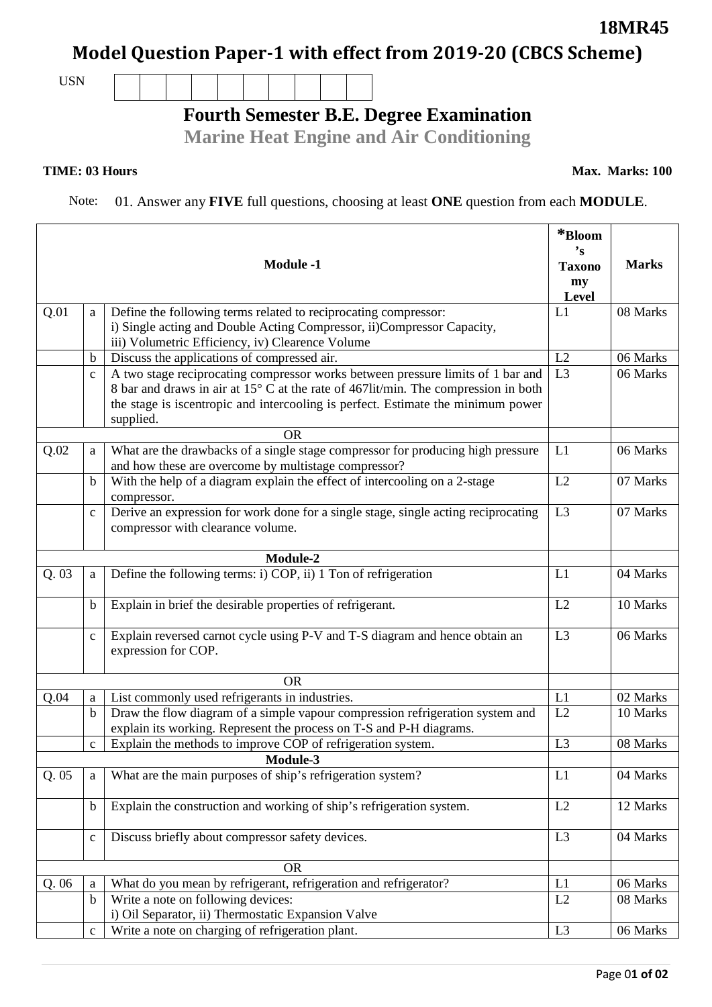## **Model Question Paper-1 with effect from 2019-20 (CBCS Scheme)**

USN

## **Fourth Semester B.E. Degree Examination**

**Marine Heat Engine and Air Conditioning**

## **TIME: 03 Hours**

Note: 01. Answer any **FIVE** full questions, choosing at least **ONE** question from each **MODULE**.

| Define the following terms related to reciprocating compressor:<br>L1<br>08 Marks<br>Q.01<br>a<br>i) Single acting and Double Acting Compressor, ii)Compressor Capacity,<br>iii) Volumetric Efficiency, iv) Clearence Volume<br>Discuss the applications of compressed air.<br>L2<br>06 Marks<br>b<br>L3<br>A two stage reciprocating compressor works between pressure limits of 1 bar and<br>06 Marks<br>$\mathbf{C}$<br>8 bar and draws in air at 15° C at the rate of 467lit/min. The compression in both<br>the stage is iscentropic and intercooling is perfect. Estimate the minimum power<br>supplied.<br><b>OR</b><br>Q.02<br>What are the drawbacks of a single stage compressor for producing high pressure<br>06 Marks<br>L1<br>a<br>and how these are overcome by multistage compressor?<br>With the help of a diagram explain the effect of intercooling on a 2-stage<br>L2<br>07 Marks<br>$\mathbf b$<br>compressor.<br>Derive an expression for work done for a single stage, single acting reciprocating<br>L <sub>3</sub><br>07 Marks<br>$\mathbf{C}$<br>compressor with clearance volume.<br>Module-2<br>Define the following terms: i) COP, ii) 1 Ton of refrigeration<br>Q.03<br>04 Marks<br>L1<br>a<br>Explain in brief the desirable properties of refrigerant.<br>L2<br>10 Marks<br>b<br>Explain reversed carnot cycle using P-V and T-S diagram and hence obtain an<br>L <sub>3</sub><br>06 Marks<br>$\mathbf c$<br>expression for COP.<br><b>OR</b><br>02 Marks<br>List commonly used refrigerants in industries.<br>L1<br>Q.04<br>$\rm{a}$<br>Draw the flow diagram of a simple vapour compression refrigeration system and<br>L2<br>b<br>10 Marks<br>explain its working. Represent the process on T-S and P-H diagrams.<br>Explain the methods to improve COP of refrigeration system.<br>08 Marks<br>L <sub>3</sub><br>$\mathbf{C}$<br>Module-3<br>What are the main purposes of ship's refrigeration system?<br>Q.05<br>L1<br>04 Marks<br>a<br>Explain the construction and working of ship's refrigeration system.<br>L2<br>$\mathbf b$<br>12 Marks<br>Discuss briefly about compressor safety devices.<br>04 Marks<br>L3<br>$\mathbf{C}$<br><b>OR</b><br>Q.06<br>What do you mean by refrigerant, refrigeration and refrigerator?<br>L1<br>06 Marks<br>a<br>Write a note on following devices:<br>L2<br>08 Marks<br>$\mathbf b$<br>i) Oil Separator, ii) Thermostatic Expansion Valve<br>Write a note on charging of refrigeration plant.<br>L <sub>3</sub><br>06 Marks<br>$\mathbf{C}$ |  |  | <b>Module -1</b> | $\mathrm{*Bloom}$<br>$\mathbf{S}$<br><b>Taxono</b><br>my<br>Level | <b>Marks</b> |  |  |
|--------------------------------------------------------------------------------------------------------------------------------------------------------------------------------------------------------------------------------------------------------------------------------------------------------------------------------------------------------------------------------------------------------------------------------------------------------------------------------------------------------------------------------------------------------------------------------------------------------------------------------------------------------------------------------------------------------------------------------------------------------------------------------------------------------------------------------------------------------------------------------------------------------------------------------------------------------------------------------------------------------------------------------------------------------------------------------------------------------------------------------------------------------------------------------------------------------------------------------------------------------------------------------------------------------------------------------------------------------------------------------------------------------------------------------------------------------------------------------------------------------------------------------------------------------------------------------------------------------------------------------------------------------------------------------------------------------------------------------------------------------------------------------------------------------------------------------------------------------------------------------------------------------------------------------------------------------------------------------------------------------------------------------------------------------------------------------------------------------------------------------------------------------------------------------------------------------------------------------------------------------------------------------------------------------------------------------------------------------------------------------------------------------------------------------------------------------------------------------------------------------------------------|--|--|------------------|-------------------------------------------------------------------|--------------|--|--|
|                                                                                                                                                                                                                                                                                                                                                                                                                                                                                                                                                                                                                                                                                                                                                                                                                                                                                                                                                                                                                                                                                                                                                                                                                                                                                                                                                                                                                                                                                                                                                                                                                                                                                                                                                                                                                                                                                                                                                                                                                                                                                                                                                                                                                                                                                                                                                                                                                                                                                                                          |  |  |                  |                                                                   |              |  |  |
|                                                                                                                                                                                                                                                                                                                                                                                                                                                                                                                                                                                                                                                                                                                                                                                                                                                                                                                                                                                                                                                                                                                                                                                                                                                                                                                                                                                                                                                                                                                                                                                                                                                                                                                                                                                                                                                                                                                                                                                                                                                                                                                                                                                                                                                                                                                                                                                                                                                                                                                          |  |  |                  |                                                                   |              |  |  |
|                                                                                                                                                                                                                                                                                                                                                                                                                                                                                                                                                                                                                                                                                                                                                                                                                                                                                                                                                                                                                                                                                                                                                                                                                                                                                                                                                                                                                                                                                                                                                                                                                                                                                                                                                                                                                                                                                                                                                                                                                                                                                                                                                                                                                                                                                                                                                                                                                                                                                                                          |  |  |                  |                                                                   |              |  |  |
|                                                                                                                                                                                                                                                                                                                                                                                                                                                                                                                                                                                                                                                                                                                                                                                                                                                                                                                                                                                                                                                                                                                                                                                                                                                                                                                                                                                                                                                                                                                                                                                                                                                                                                                                                                                                                                                                                                                                                                                                                                                                                                                                                                                                                                                                                                                                                                                                                                                                                                                          |  |  |                  |                                                                   |              |  |  |
|                                                                                                                                                                                                                                                                                                                                                                                                                                                                                                                                                                                                                                                                                                                                                                                                                                                                                                                                                                                                                                                                                                                                                                                                                                                                                                                                                                                                                                                                                                                                                                                                                                                                                                                                                                                                                                                                                                                                                                                                                                                                                                                                                                                                                                                                                                                                                                                                                                                                                                                          |  |  |                  |                                                                   |              |  |  |
|                                                                                                                                                                                                                                                                                                                                                                                                                                                                                                                                                                                                                                                                                                                                                                                                                                                                                                                                                                                                                                                                                                                                                                                                                                                                                                                                                                                                                                                                                                                                                                                                                                                                                                                                                                                                                                                                                                                                                                                                                                                                                                                                                                                                                                                                                                                                                                                                                                                                                                                          |  |  |                  |                                                                   |              |  |  |
|                                                                                                                                                                                                                                                                                                                                                                                                                                                                                                                                                                                                                                                                                                                                                                                                                                                                                                                                                                                                                                                                                                                                                                                                                                                                                                                                                                                                                                                                                                                                                                                                                                                                                                                                                                                                                                                                                                                                                                                                                                                                                                                                                                                                                                                                                                                                                                                                                                                                                                                          |  |  |                  |                                                                   |              |  |  |
|                                                                                                                                                                                                                                                                                                                                                                                                                                                                                                                                                                                                                                                                                                                                                                                                                                                                                                                                                                                                                                                                                                                                                                                                                                                                                                                                                                                                                                                                                                                                                                                                                                                                                                                                                                                                                                                                                                                                                                                                                                                                                                                                                                                                                                                                                                                                                                                                                                                                                                                          |  |  |                  |                                                                   |              |  |  |
|                                                                                                                                                                                                                                                                                                                                                                                                                                                                                                                                                                                                                                                                                                                                                                                                                                                                                                                                                                                                                                                                                                                                                                                                                                                                                                                                                                                                                                                                                                                                                                                                                                                                                                                                                                                                                                                                                                                                                                                                                                                                                                                                                                                                                                                                                                                                                                                                                                                                                                                          |  |  |                  |                                                                   |              |  |  |
|                                                                                                                                                                                                                                                                                                                                                                                                                                                                                                                                                                                                                                                                                                                                                                                                                                                                                                                                                                                                                                                                                                                                                                                                                                                                                                                                                                                                                                                                                                                                                                                                                                                                                                                                                                                                                                                                                                                                                                                                                                                                                                                                                                                                                                                                                                                                                                                                                                                                                                                          |  |  |                  |                                                                   |              |  |  |
|                                                                                                                                                                                                                                                                                                                                                                                                                                                                                                                                                                                                                                                                                                                                                                                                                                                                                                                                                                                                                                                                                                                                                                                                                                                                                                                                                                                                                                                                                                                                                                                                                                                                                                                                                                                                                                                                                                                                                                                                                                                                                                                                                                                                                                                                                                                                                                                                                                                                                                                          |  |  |                  |                                                                   |              |  |  |
|                                                                                                                                                                                                                                                                                                                                                                                                                                                                                                                                                                                                                                                                                                                                                                                                                                                                                                                                                                                                                                                                                                                                                                                                                                                                                                                                                                                                                                                                                                                                                                                                                                                                                                                                                                                                                                                                                                                                                                                                                                                                                                                                                                                                                                                                                                                                                                                                                                                                                                                          |  |  |                  |                                                                   |              |  |  |
|                                                                                                                                                                                                                                                                                                                                                                                                                                                                                                                                                                                                                                                                                                                                                                                                                                                                                                                                                                                                                                                                                                                                                                                                                                                                                                                                                                                                                                                                                                                                                                                                                                                                                                                                                                                                                                                                                                                                                                                                                                                                                                                                                                                                                                                                                                                                                                                                                                                                                                                          |  |  |                  |                                                                   |              |  |  |
|                                                                                                                                                                                                                                                                                                                                                                                                                                                                                                                                                                                                                                                                                                                                                                                                                                                                                                                                                                                                                                                                                                                                                                                                                                                                                                                                                                                                                                                                                                                                                                                                                                                                                                                                                                                                                                                                                                                                                                                                                                                                                                                                                                                                                                                                                                                                                                                                                                                                                                                          |  |  |                  |                                                                   |              |  |  |
|                                                                                                                                                                                                                                                                                                                                                                                                                                                                                                                                                                                                                                                                                                                                                                                                                                                                                                                                                                                                                                                                                                                                                                                                                                                                                                                                                                                                                                                                                                                                                                                                                                                                                                                                                                                                                                                                                                                                                                                                                                                                                                                                                                                                                                                                                                                                                                                                                                                                                                                          |  |  |                  |                                                                   |              |  |  |
|                                                                                                                                                                                                                                                                                                                                                                                                                                                                                                                                                                                                                                                                                                                                                                                                                                                                                                                                                                                                                                                                                                                                                                                                                                                                                                                                                                                                                                                                                                                                                                                                                                                                                                                                                                                                                                                                                                                                                                                                                                                                                                                                                                                                                                                                                                                                                                                                                                                                                                                          |  |  |                  |                                                                   |              |  |  |
|                                                                                                                                                                                                                                                                                                                                                                                                                                                                                                                                                                                                                                                                                                                                                                                                                                                                                                                                                                                                                                                                                                                                                                                                                                                                                                                                                                                                                                                                                                                                                                                                                                                                                                                                                                                                                                                                                                                                                                                                                                                                                                                                                                                                                                                                                                                                                                                                                                                                                                                          |  |  |                  |                                                                   |              |  |  |
|                                                                                                                                                                                                                                                                                                                                                                                                                                                                                                                                                                                                                                                                                                                                                                                                                                                                                                                                                                                                                                                                                                                                                                                                                                                                                                                                                                                                                                                                                                                                                                                                                                                                                                                                                                                                                                                                                                                                                                                                                                                                                                                                                                                                                                                                                                                                                                                                                                                                                                                          |  |  |                  |                                                                   |              |  |  |
|                                                                                                                                                                                                                                                                                                                                                                                                                                                                                                                                                                                                                                                                                                                                                                                                                                                                                                                                                                                                                                                                                                                                                                                                                                                                                                                                                                                                                                                                                                                                                                                                                                                                                                                                                                                                                                                                                                                                                                                                                                                                                                                                                                                                                                                                                                                                                                                                                                                                                                                          |  |  |                  |                                                                   |              |  |  |
|                                                                                                                                                                                                                                                                                                                                                                                                                                                                                                                                                                                                                                                                                                                                                                                                                                                                                                                                                                                                                                                                                                                                                                                                                                                                                                                                                                                                                                                                                                                                                                                                                                                                                                                                                                                                                                                                                                                                                                                                                                                                                                                                                                                                                                                                                                                                                                                                                                                                                                                          |  |  |                  |                                                                   |              |  |  |
|                                                                                                                                                                                                                                                                                                                                                                                                                                                                                                                                                                                                                                                                                                                                                                                                                                                                                                                                                                                                                                                                                                                                                                                                                                                                                                                                                                                                                                                                                                                                                                                                                                                                                                                                                                                                                                                                                                                                                                                                                                                                                                                                                                                                                                                                                                                                                                                                                                                                                                                          |  |  |                  |                                                                   |              |  |  |
|                                                                                                                                                                                                                                                                                                                                                                                                                                                                                                                                                                                                                                                                                                                                                                                                                                                                                                                                                                                                                                                                                                                                                                                                                                                                                                                                                                                                                                                                                                                                                                                                                                                                                                                                                                                                                                                                                                                                                                                                                                                                                                                                                                                                                                                                                                                                                                                                                                                                                                                          |  |  |                  |                                                                   |              |  |  |
|                                                                                                                                                                                                                                                                                                                                                                                                                                                                                                                                                                                                                                                                                                                                                                                                                                                                                                                                                                                                                                                                                                                                                                                                                                                                                                                                                                                                                                                                                                                                                                                                                                                                                                                                                                                                                                                                                                                                                                                                                                                                                                                                                                                                                                                                                                                                                                                                                                                                                                                          |  |  |                  |                                                                   |              |  |  |

**18MR45**

**Max. Marks: 100**